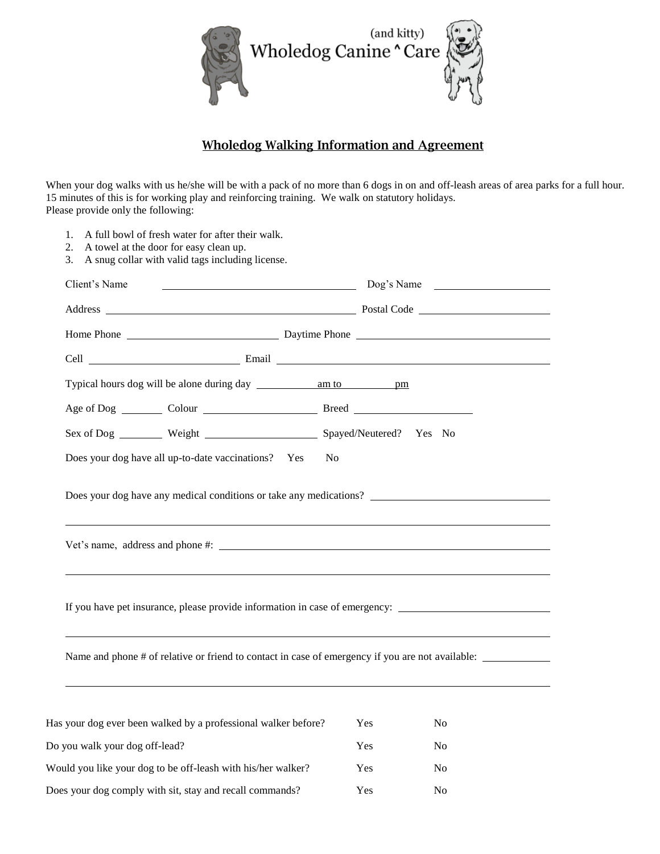

## **Wholedog Walking Information and Agreement**

When your dog walks with us he/she will be with a pack of no more than 6 dogs in on and off-leash areas of area parks for a full hour. 15 minutes of this is for working play and reinforcing training. We walk on statutory holidays. Please provide only the following:

1. A full bowl of fresh water for after their walk.

| Client's Name<br>$\log$ 's Name                                                                                                                                                                                                |                |                |  |
|--------------------------------------------------------------------------------------------------------------------------------------------------------------------------------------------------------------------------------|----------------|----------------|--|
| Address Postal Code Postal Code Postal Code Postal Code Postal Code Postal Code Postal Code Postal Code Postal Code Postal Code Postal Code Postal Code Postal Code Postal Code Postal Code Postal Code Postal Code Postal Cod |                |                |  |
|                                                                                                                                                                                                                                |                |                |  |
|                                                                                                                                                                                                                                |                |                |  |
|                                                                                                                                                                                                                                |                |                |  |
|                                                                                                                                                                                                                                |                |                |  |
| Sex of Dog _________ Weight __________________________ Spayed/Neutered? Yes No                                                                                                                                                 |                |                |  |
| Does your dog have all up-to-date vaccinations? Yes                                                                                                                                                                            | N <sub>0</sub> |                |  |
| Does your dog have any medical conditions or take any medications?                                                                                                                                                             |                |                |  |
|                                                                                                                                                                                                                                |                |                |  |
| If you have pet insurance, please provide information in case of emergency: ________________________                                                                                                                           |                |                |  |
| Name and phone # of relative or friend to contact in case of emergency if you are not available:                                                                                                                               |                |                |  |
|                                                                                                                                                                                                                                | Yes            | No             |  |
| Has your dog ever been walked by a professional walker before?<br>Do you walk your dog off-lead?                                                                                                                               | Yes            | N <sub>0</sub> |  |

Does your dog comply with sit, stay and recall commands? Yes No